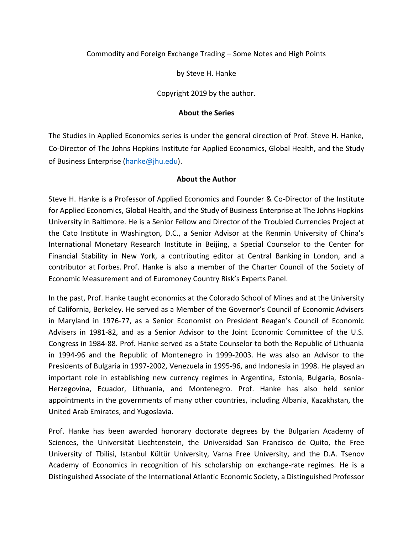Commodity and Foreign Exchange Trading – Some Notes and High Points

by Steve H. Hanke

# Copyright 2019 by the author.

# **About the Series**

The Studies in Applied Economics series is under the general direction of Prof. Steve H. Hanke, Co-Director of The Johns Hopkins Institute for Applied Economics, Global Health, and the Study of Business Enterprise [\(hanke@jhu.edu\)](http://hanke@jhu.edu/).

## **About the Author**

Steve H. Hanke is a Professor of Applied Economics and Founder & Co-Director of the Institute for Applied Economics, Global Health, and the Study of Business Enterprise at The Johns Hopkins University in Baltimore. He is a Senior Fellow and Director of the [Troubled Currencies Project](http://www.cato.org/research/troubled-currencies-project) at the Cato Institute in Washington, D.C., a Senior Advisor at the Renmin University of China's International Monetary Research Institute in Beijing, a Special Counselor to the Center for Financial Stability in New York, a contributing editor at Central Banking in London, and a contributor at Forbes. Prof. Hanke is also a member of the Charter Council of the Society of Economic Measurement and of Euromoney Country Risk's Experts Panel.

In the past, Prof. Hanke taught economics at the Colorado School of Mines and at the University of California, Berkeley. He served as a Member of the Governor's Council of Economic Advisers in Maryland in 1976-77, as a Senior Economist on President Reagan's Council of Economic Advisers in 1981-82, and as a Senior Advisor to the Joint Economic Committee of the U.S. Congress in 1984-88. Prof. Hanke served as a State Counselor to both the Republic of Lithuania in 1994-96 and the Republic of Montenegro in 1999-2003. He was also an Advisor to the Presidents of Bulgaria in 1997-2002, Venezuela in 1995-96, and Indonesia in 1998. He played an important role in establishing new currency regimes in Argentina, Estonia, Bulgaria, Bosnia-Herzegovina, Ecuador, Lithuania, and Montenegro. Prof. Hanke has also held senior appointments in the governments of many other countries, including Albania, Kazakhstan, the United Arab Emirates, and Yugoslavia.

Prof. Hanke has been awarded honorary doctorate degrees by the Bulgarian Academy of Sciences, the Universität Liechtenstein, the Universidad San Francisco de Quito, the Free University of Tbilisi, Istanbul Kültür University, Varna Free University, and the D.A. Tsenov Academy of Economics in recognition of his scholarship on exchange-rate regimes. He is a Distinguished Associate of the International Atlantic Economic Society, a Distinguished Professor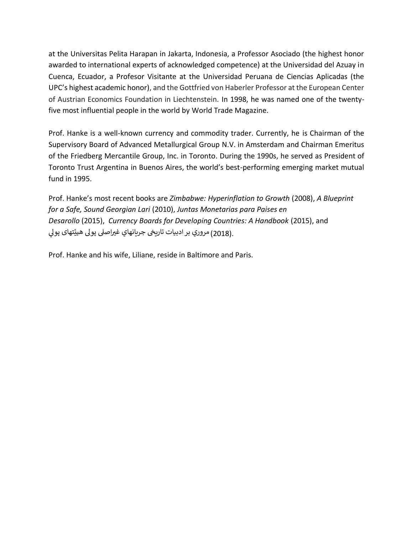at the Universitas Pelita Harapan in Jakarta, Indonesia, a Professor Asociado (the highest honor awarded to international experts of acknowledged competence) at the Universidad del Azuay in Cuenca, Ecuador, a Profesor Visitante at the Universidad Peruana de Ciencias Aplicadas (the UPC's highest academic honor), and the Gottfried von Haberler Professor at the European Center of Austrian Economics Foundation in Liechtenstein. In 1998, he was named one of the twentyfive most influential people in the world by World Trade Magazine.

Prof. Hanke is a well-known currency and commodity trader. Currently, he is Chairman of the Supervisory Board of Advanced Metallurgical Group N.V. in Amsterdam and Chairman Emeritus of the Friedberg Mercantile Group, Inc. in Toronto. During the 1990s, he served as President of Toronto Trust Argentina in Buenos Aires, the world's best-performing emerging market mutual fund in 1995.

Prof. Hanke's most recent books are *Zimbabwe: Hyperinflation to Growth* (2008), *A Blueprint for a Safe, Sound Georgian Lari* (2010), *Juntas Monetarias para Paises en Desarollo* (2015), *Currency Boards for Developing Countries: A Handbook* (2015), and .(2018) مروري بر ادبيات تاريخی جريانهاي غيراصلی پولی هيئتهای پولي ٔ

Prof. Hanke and his wife, Liliane, reside in Baltimore and Paris.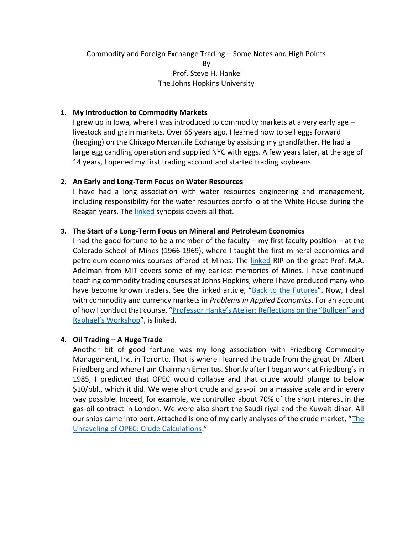Commodity and Foreign Exchange Trading – Some Notes and High Points By Prof. Steve H. Hanke The Johns Hopkins University

### **1. My Introduction to Commodity Markets**

I grew up in Iowa, where I was introduced to commodity markets at a very early age livestock and grain markets. Over 65 years ago, I learned how to sell eggs forward (hedging) on the Chicago Mercantile Exchange by assisting my grandfather. He had a large egg candling operation and supplied NYC with eggs. A few years later, at the age of 14 years, I opened my first trading account and started trading soybeans.

#### **2. An Early and Long-Term Focus on Water Resources**

I have had a long association with water resources engineering and management, including responsibility for the water resources portfolio at the White House during the Reagan years. The [linked](https://sites.krieger.jhu.edu/iae/files/2019/12/A-Synopsis-of-Prof.-Hankes-Activities-in-the-Water-Resource-Field_Good.pdf) synopsis covers all that.

#### **3. The Start of a Long-Term Focus on Mineral and Petroleum Economics**

I had the good fortune to be a member of the faculty – my first faculty position – at the Colorado School of Mines (1966-1969), where I taught the first mineral economics and petroleum economics courses offered at Mines. The [linked](https://www.cato.org/blog/remembrances-prof-ma-adelman) RIP on the great Prof. M.A. Adelman from MIT covers some of my earliest memories of Mines. I have continued teaching commodity trading courses at Johns Hopkins, where I have produced many who have become known traders. See the linked article, "[Back to the Futures](https://www.dropbox.com/s/cswoje8y45vrd35/Back_to_the_Futures.pdf?dl=0)". Now, I deal with commodity and currency markets in *Problems in Applied Economics*. For an account of how I conduct that course, "Professor Hanke's Atelier: [Reflections](https://sites.krieger.jhu.edu/iae/files/2017/04/Alexis_Gaillard_Bullpen_Raphael_Workshop.pdf) on the "Bullpen" and Raphael's [Workshop](https://sites.krieger.jhu.edu/iae/files/2017/04/Alexis_Gaillard_Bullpen_Raphael_Workshop.pdf)", is linked.

### **4. Oil Trading – A Huge Trade**

Another bit of good fortune was my long association with Friedberg Commodity Management, Inc. in Toronto. That is where I learned the trade from the great Dr. Albert Friedberg and where I am Chairman Emeritus. Shortly after I began work at Friedberg's in 1985, I predicted that OPEC would collapse and that crude would plunge to below \$10/bbl., which it did. We were short crude and gas-oil on a massive scale and in every way possible. Indeed, for example, we controlled about 70% of the short interest in the gas-oil contract in London. We were also short the Saudi riyal and the Kuwait dinar. All our ships came into port. Attached is one of my early analyses of the crude market, "The [Unraveling of OPEC: Crude Calculations](https://www.dropbox.com/s/qcuox3pozkom63q/The%20Unraveling%20of%20OPEC%20Crude%20Calculations%2C%20Friedberg%27s%20Commodity%20and%20Currency%20Comments.pdf?dl=0)."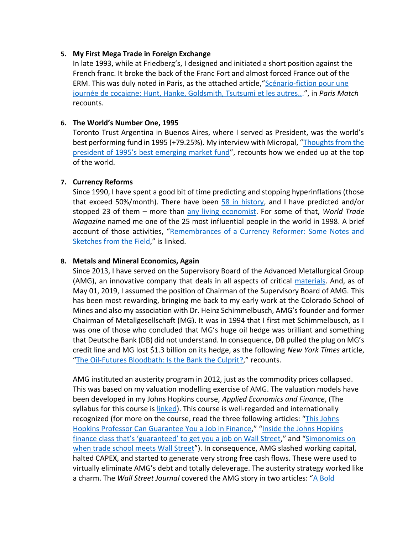### **5. My First Mega Trade in Foreign Exchange**

In late 1993, while at Friedberg's, I designed and initiated a short position against the French franc. It broke the back of the Franc Fort and almost forced France out of the ERM. This was duly noted in Paris, as the attached article,"Scé[nario-fiction pour une](https://www.dropbox.com/s/iweghnxqotvwfy1/Paris%20Match%20-%202%20Septembre%201993%20.pdf?dl=0)  journée de cocaigne: Hunt, [Hanke, Goldsmith, Tsutsumi et les autres...](https://www.dropbox.com/s/iweghnxqotvwfy1/Paris%20Match%20-%202%20Septembre%201993%20.pdf?dl=0)", in *Paris Match* recounts.

## **6. The World's Number One, 1995**

Toronto Trust Argentina in Buenos Aires, where I served as President, was the world's best performing fund in 1995 (+79.25%). My interview with Micropal, "[Thoughts from the](https://www.dropbox.com/s/s2eyqiukm6rixhp/Toronto%20Trust%20Returns.pdf?dl=0)  [president of 1995's best emerging market fund"](https://www.dropbox.com/s/s2eyqiukm6rixhp/Toronto%20Trust%20Returns.pdf?dl=0), recounts how we ended up at the top of the world.

## **7. Currency Reforms**

Since 1990, I have spent a good bit of time predicting and stopping hyperinflations (those that exceed 50%/month). There have been [58 in history,](https://www.cato.org/sites/cato.org/files/pubs/pdf/hanke-krus-hyperinflation-table.pdf) and I have predicted and/or stopped 23 of them – more than [any living economist.](https://www.wsj.com/articles/what-is-hyperinflation-1544410800) For some of that, *World Trade Magazine* named me one of the 25 most influential people in the world in 1998. A brief account of those activities, "[Remembrances of a Currency Reformer: Some Notes and](https://sites.krieger.jhu.edu/iae/files/2019/10/Remembrances-Amended.pdf)  [Sketches from the Field](https://sites.krieger.jhu.edu/iae/files/2019/10/Remembrances-Amended.pdf)," is linked.

## **8. Metals and Mineral Economics, Again**

Since 2013, I have served on the Supervisory Board of the Advanced Metallurgical Group (AMG), an innovative company that deals in all aspects of critical [materials.](https://www.barrons.com/articles/dutch-materials-stock-looks-tempting-1542997237) And, as of May 01, 2019, I assumed the position of Chairman of the Supervisory Board of AMG. This has been most rewarding, bringing me back to my early work at the Colorado School of Mines and also my association with Dr. Heinz Schimmelbusch, AMG's founder and former Chairman of Metallgesellschaft (MG). It was in 1994 that I first met Schimmelbusch, as I was one of those who concluded that MG's huge oil hedge was brilliant and something that Deutsche Bank (DB) did not understand. In consequence, DB pulled the plug on MG's credit line and MG lost \$1.3 billion on its hedge, as the following *New York Times* article, "[The Oil-Futures Bloodbath: Is the Bank the Culprit?](https://www.nytimes.com/1994/10/16/business/the-oil-futures-bloodbath-is-the-bank-the-culprit.html?pagewanted=all)," recounts.

AMG instituted an austerity program in 2012, just as the commodity prices collapsed. This was based on my valuation modelling exercise of AMG. The valuation models have been developed in my Johns Hopkins course, *Applied Economics and Finance*, (The syllabus for this course is [linked\)](https://sites.krieger.jhu.edu/iae/files/2019/01/Applied-Economics-Finance-Syllabus-Spring-2018_1.pdf). This course is well-regarded and internationally recognized (for more on the course, read the three following articles: "[This Johns](https://www.bloomberg.com/news/articles/2015-04-21/steve-hanke-s-finance-course-has-wall-street-clamoring-for-grads)  [Hopkins Professor Can Guarantee You a Job in Finance](https://www.bloomberg.com/news/articles/2015-04-21/steve-hanke-s-finance-course-has-wall-street-clamoring-for-grads)," "[Inside the Johns Hopkins](https://www.businessinsider.com/johns-hopkins-wall-street-guarantee-finance-course-2015-5)  [finance class that's 'guaranteed' to get you a job on Wall Street,](https://www.businessinsider.com/johns-hopkins-wall-street-guarantee-finance-course-2015-5)" and "[Simonomics on](https://www.ozy.com/news-and-politics/simonomics-on-when-trade-school-meets-wall-street/67111/)  [when trade school meets Wall Street](https://www.ozy.com/news-and-politics/simonomics-on-when-trade-school-meets-wall-street/67111/)"). In consequence, AMG slashed working capital, halted CAPEX, and started to generate very strong free cash flows. These were used to virtually eliminate AMG's debt and totally deleverage. The austerity strategy worked like a charm. The *Wall Street Journal* covered the AMG story in two articles: "[A Bold](https://www.wsj.com/articles/a-bold-approach-in-commodities-paid-off-1465178463)